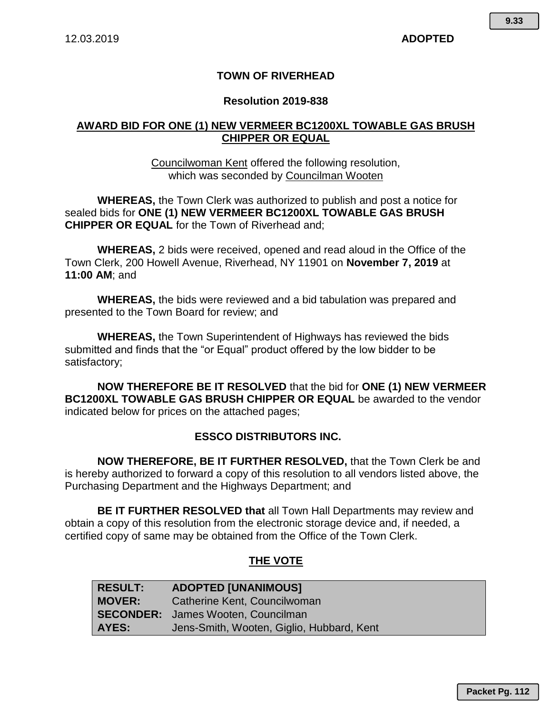### **TOWN OF RIVERHEAD**

#### **Resolution 2019-838**

### **AWARD BID FOR ONE (1) NEW VERMEER BC1200XL TOWABLE GAS BRUSH CHIPPER OR EQUAL**

Councilwoman Kent offered the following resolution, which was seconded by Councilman Wooten

**WHEREAS,** the Town Clerk was authorized to publish and post a notice for sealed bids for **ONE (1) NEW VERMEER BC1200XL TOWABLE GAS BRUSH CHIPPER OR EQUAL** for the Town of Riverhead and;

**WHEREAS,** 2 bids were received, opened and read aloud in the Office of the Town Clerk, 200 Howell Avenue, Riverhead, NY 11901 on **November 7, 2019** at **11:00 AM**; and

**WHEREAS,** the bids were reviewed and a bid tabulation was prepared and presented to the Town Board for review; and

**WHEREAS,** the Town Superintendent of Highways has reviewed the bids submitted and finds that the "or Equal" product offered by the low bidder to be satisfactory;

**NOW THEREFORE BE IT RESOLVED** that the bid for **ONE (1) NEW VERMEER BC1200XL TOWABLE GAS BRUSH CHIPPER OR EQUAL** be awarded to the vendor indicated below for prices on the attached pages;

#### **ESSCO DISTRIBUTORS INC.**

**NOW THEREFORE, BE IT FURTHER RESOLVED,** that the Town Clerk be and is hereby authorized to forward a copy of this resolution to all vendors listed above, the Purchasing Department and the Highways Department; and

**BE IT FURTHER RESOLVED that** all Town Hall Departments may review and obtain a copy of this resolution from the electronic storage device and, if needed, a certified copy of same may be obtained from the Office of the Town Clerk.

#### **THE VOTE**

| <b>RESULT:</b> | <b>ADOPTED [UNANIMOUS]</b>                |
|----------------|-------------------------------------------|
| <b>MOVER:</b>  | Catherine Kent, Councilwoman              |
|                | <b>SECONDER:</b> James Wooten, Councilman |
| AYES:          | Jens-Smith, Wooten, Giglio, Hubbard, Kent |

**Packet Pg. 112**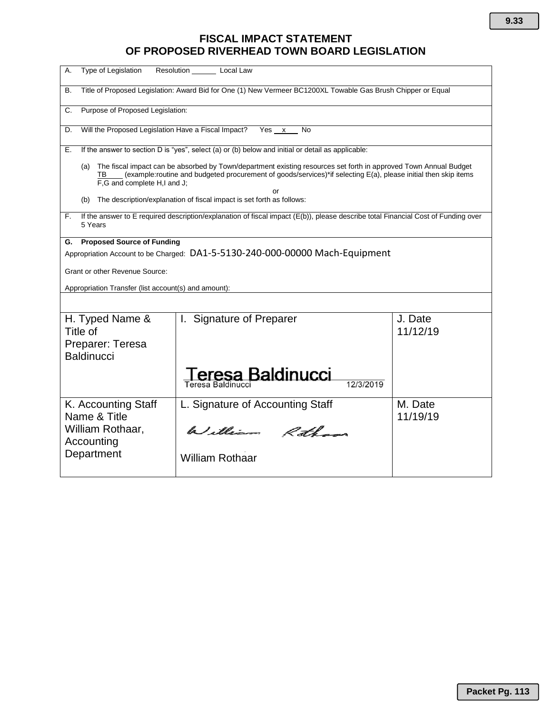## **FISCAL IMPACT STATEMENT OF PROPOSED RIVERHEAD TOWN BOARD LEGISLATION**

| Type of Legislation<br>А.                                                                                                                                                                                                                                                             | Resolution Local Law                                                                                         |                     |  |  |  |  |  |
|---------------------------------------------------------------------------------------------------------------------------------------------------------------------------------------------------------------------------------------------------------------------------------------|--------------------------------------------------------------------------------------------------------------|---------------------|--|--|--|--|--|
| В.                                                                                                                                                                                                                                                                                    | Title of Proposed Legislation: Award Bid for One (1) New Vermeer BC1200XL Towable Gas Brush Chipper or Equal |                     |  |  |  |  |  |
| C.                                                                                                                                                                                                                                                                                    | Purpose of Proposed Legislation:                                                                             |                     |  |  |  |  |  |
| D.                                                                                                                                                                                                                                                                                    | Will the Proposed Legislation Have a Fiscal Impact? Yes x<br>No                                              |                     |  |  |  |  |  |
| Е.                                                                                                                                                                                                                                                                                    | If the answer to section D is "yes", select (a) or (b) below and initial or detail as applicable:            |                     |  |  |  |  |  |
| The fiscal impact can be absorbed by Town/department existing resources set forth in approved Town Annual Budget<br>(a)<br>(example:routine and budgeted procurement of goods/services)*if selecting E(a), please initial then skip items<br>TB.<br>F,G and complete H,I and J;<br>or |                                                                                                              |                     |  |  |  |  |  |
| The description/explanation of fiscal impact is set forth as follows:<br>(b)                                                                                                                                                                                                          |                                                                                                              |                     |  |  |  |  |  |
| If the answer to E required description/explanation of fiscal impact (E(b)), please describe total Financial Cost of Funding over<br>F.<br>5 Years                                                                                                                                    |                                                                                                              |                     |  |  |  |  |  |
| <b>Proposed Source of Funding</b><br>G.<br>Appropriation Account to be Charged: DA1-5-5130-240-000-00000 Mach-Equipment<br>Grant or other Revenue Source:<br>Appropriation Transfer (list account(s) and amount):                                                                     |                                                                                                              |                     |  |  |  |  |  |
| H. Typed Name &<br>Title of<br>Preparer: Teresa<br><b>Baldinucci</b>                                                                                                                                                                                                                  | I. Signature of Preparer<br>sa Baldinucci<br>Teresa Baldinucci                                               | J. Date<br>11/12/19 |  |  |  |  |  |
| K. Accounting Staff<br>Name & Title<br>William Rothaar,<br>Accounting<br>Department                                                                                                                                                                                                   | L. Signature of Accounting Staff<br>William Rotham<br><b>William Rothaar</b>                                 | M. Date<br>11/19/19 |  |  |  |  |  |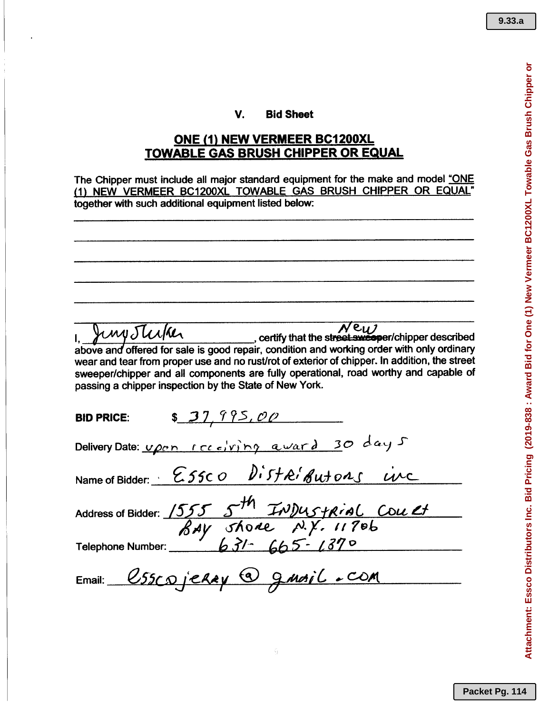#### V. Bid Sheet

### ONE (1) NEW VERMEER BC1200XL TOWABLE GAS BRUSH CHIPPER OR EQUAL

The Chipper must include all major standard equipment for the make and model "ONE (1) NEW VERMEER BC1200XL TOWABLE GAS BRUSH CHIPPER OR EQUAL" together with such additional equipment listed below:

IMPJU/KU above and offered for sale is good repair, condition and working order with only ordinary wear and tear from proper use and no rust/rot of exterior of chipper. In addition, the street sweeper/chipper and all components are fully operational, road worthy and capable of passing a chipper inspection by the State of New York. \$ 37,995,00 BID PRICE: Delivery Date: *vpon receiving award* 30 days  $N$ ame of Bidder:  $\cdot$  *E55c0 Distributions inc* Address of Bidder: <u>1555</u> 5<sup>th</sup> InDustrial Coult *tRAy ol\o~ ,N.y, 1179h* Telephone Number: **63/-** 665-1370 Email: *eSSCaJJ.e.My€)8=/WAiL ....c..D.tt*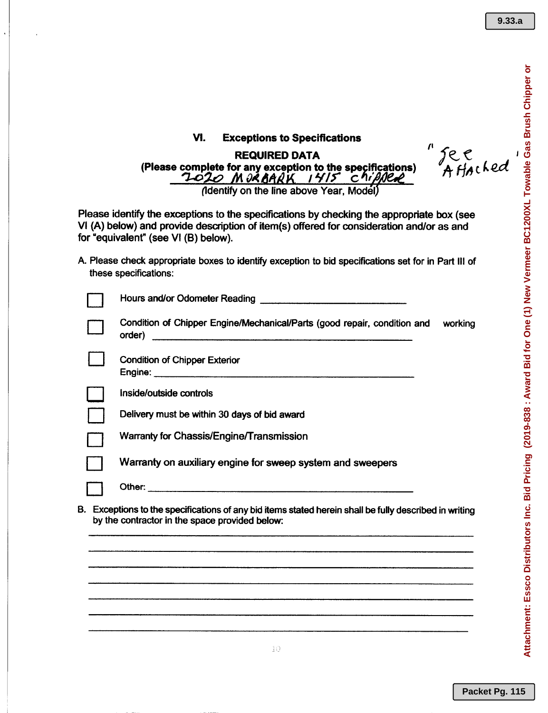$\mathbf{r}$ 

Jee<br>Affached

# VI. Exceptions to Specifications

 $\ddot{\phantom{0}}$ 

REQUIRED DATA (Please complete for any exception to the specifications)<br>  $7\overline{0}$   $2\overline{0}$  M  $\partial$  R BAR K I 4/5 C hipsen *']....01.0 O~ I¥I\$" ell"*

(Identify on the line above Year, Model)

Please identify the exceptions to the specifications by checking the appropriate box (see VI (A) below) and provide description of item(s) offered for consideration and/or as and for "equivalent" (see VI (8) below).

A. Please check appropriate boxes to identify exception to bid specifications set for in Part III of these specifications:

|    | Condition of Chipper Engine/Mechanical/Parts (good repair, condition and<br>working<br>order)                                                         |
|----|-------------------------------------------------------------------------------------------------------------------------------------------------------|
|    | <b>Condition of Chipper Exterior</b>                                                                                                                  |
|    | Inside/outside controls                                                                                                                               |
|    | Delivery must be within 30 days of bid award                                                                                                          |
|    | Warranty for Chassis/Engine/Transmission                                                                                                              |
|    | Warranty on auxiliary engine for sweep system and sweepers                                                                                            |
|    |                                                                                                                                                       |
| В. | Exceptions to the specifications of any bid items stated herein shall be fully described in writing<br>by the contractor in the space provided below: |